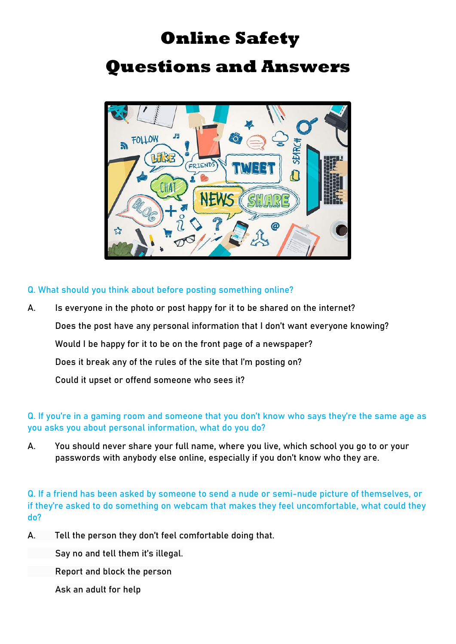# **Online Safety**

## **Questions and Answers**



**Q. What should you think about before posting something online?**

**A. Is everyone in the photo or post happy for it to be shared on the internet? Does the post have any personal information that I don't want everyone knowing? Would I be happy for it to be on the front page of a newspaper? Does it break any of the rules of the site that I'm posting on? Could it upset or offend someone who sees it?**

**Q. If you're in a gaming room and someone that you don't know who says they're the same age as you asks you about personal information, what do you do?**

**A. You should never share your full name, where you live, which school you go to or your passwords with anybody else online, especially if you don't know who they are.**

**Q. If a friend has been asked by someone to send a nude or semi-nude picture of themselves, or if they're asked to do something on webcam that makes they feel uncomfortable, what could they do?**

**A. Tell the person they don't feel comfortable doing that.**

**Say no and tell them it's illegal.**

**Report and block the person**

**Ask an adult for help**